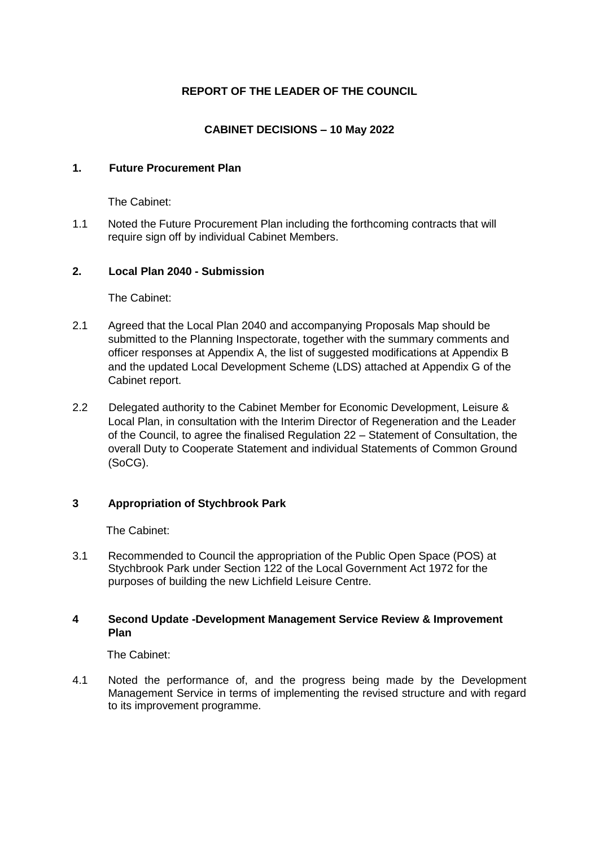# **REPORT OF THE LEADER OF THE COUNCIL**

# **CABINET DECISIONS – 10 May 2022**

## **1. Future Procurement Plan**

The Cabinet:

1.1 Noted the Future Procurement Plan including the forthcoming contracts that will require sign off by individual Cabinet Members.

## **2. Local Plan 2040 - Submission**

The Cabinet:

- 2.1 Agreed that the Local Plan 2040 and accompanying Proposals Map should be submitted to the Planning Inspectorate, together with the summary comments and officer responses at Appendix A, the list of suggested modifications at Appendix B and the updated Local Development Scheme (LDS) attached at Appendix G of the Cabinet report.
- 2.2 Delegated authority to the Cabinet Member for Economic Development, Leisure & Local Plan, in consultation with the Interim Director of Regeneration and the Leader of the Council, to agree the finalised Regulation 22 – Statement of Consultation, the overall Duty to Cooperate Statement and individual Statements of Common Ground (SoCG).

## **3 Appropriation of Stychbrook Park**

The Cabinet:

3.1 Recommended to Council the appropriation of the Public Open Space (POS) at Stychbrook Park under Section 122 of the Local Government Act 1972 for the purposes of building the new Lichfield Leisure Centre.

#### **4 Second Update -Development Management Service Review & Improvement Plan**

The Cabinet:

4.1 Noted the performance of, and the progress being made by the Development Management Service in terms of implementing the revised structure and with regard to its improvement programme.